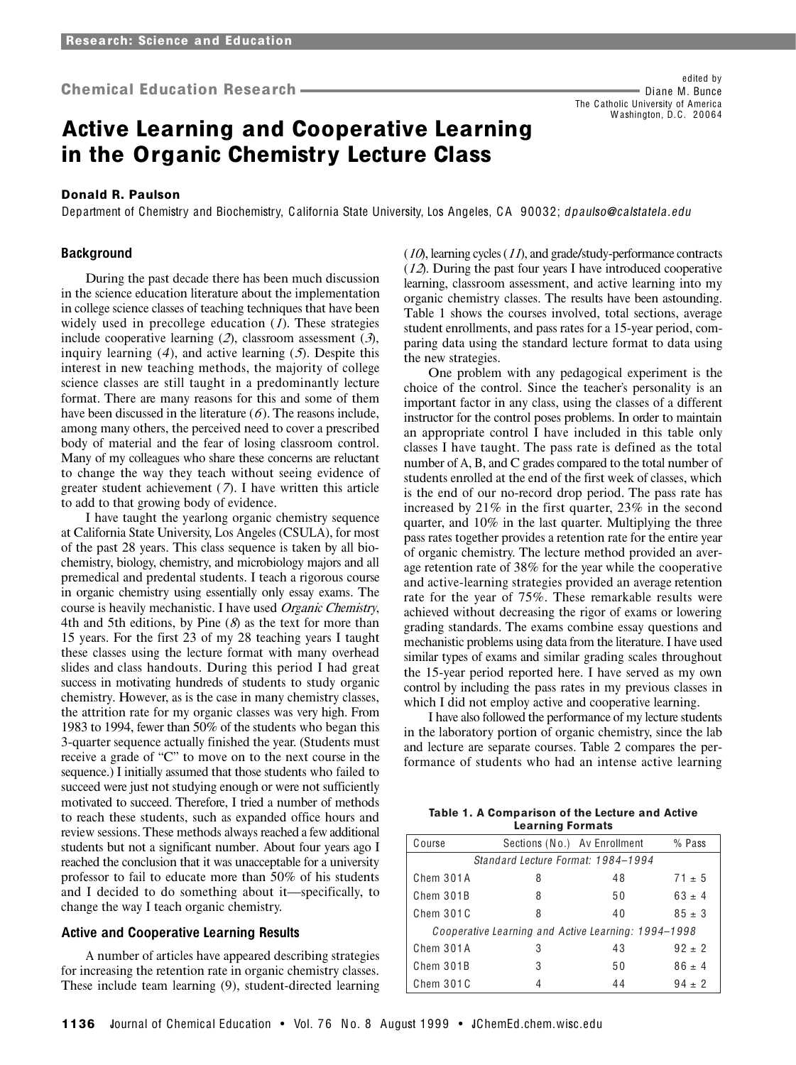# Active Learning and Cooperative Learning in the Organic Chemistry Lecture Class

### Donald R. Paulson

Department of Chemistry and Biochemistry, California State University, Los Angeles, CA 90032; dpaulso@calstatela.edu

## Background

During the past decade there has been much discussion in the science education literature about the implementation in college science classes of teaching techniques that have been widely used in precollege education  $(1)$ . These strategies include cooperative learning  $(2)$ , classroom assessment  $(3)$ , inquiry learning  $(4)$ , and active learning  $(5)$ . Despite this interest in new teaching methods, the majority of college science classes are still taught in a predominantly lecture format. There are many reasons for this and some of them have been discussed in the literature  $(6)$ . The reasons include, among many others, the perceived need to cover a prescribed body of material and the fear of losing classroom control. Many of my colleagues who share these concerns are reluctant to change the way they teach without seeing evidence of greater student achievement  $(7)$ . I have written this article to add to that growing body of evidence.

I have taught the yearlong organic chemistry sequence at California State <sup>U</sup>niversity, Los Angeles (CSULA), for most of the past 28 years. This class sequence is taken by all biochemistry, biology, chemistry, and microbiology majors and all premedical and predental students. I teach a rigorous course in organic chemistry using essentially only essay exams. The course is heavily mechanistic. I have used *Organic Chemistry*, 4th and 5th editions, by Pine  $(8)$  as the text for more than 15 years. For the first 23 of my 28 teaching years I taught these classes using the lecture format with many overhead slides and class handouts. During this period I had great success in motivating hundreds of students to study organic chemistry. However, as is the case in many chemistry classes, the attrition rate for my organic classes was very high. From 1983 to 1994, fewer than 50% of the students who began this 3-quarter sequence actually finished the year. (Students must receive a grade of "C" to move on to the next course in the sequence.) I initially assumed that those students who failed to succeed were just not studying enough or were not sufficiently motivated to succeed. Therefore, I tried a number of methods to reach these students, such as expanded office hours and review sessions. These methods always reached a few additional students but not a significant number. About four years ago I reached the conclusion that it was unacceptable for a university professor to fail to educate more than 50% of his students and I decided to do something about it—specifically, to change the way I teach organic chemistry.

#### Active and Cooperative Learning Results

A number of articles have appeared describing strategies for increasing the retention rate in organic chemistry classes. These include team learning (9), student-directed learning (10), learning cycles (11), and grade/study-performance contracts (12). During the past four years I have introduced cooperative learning, classroom assessment, and active learning into my organic chemistry classes. The results have been astounding. Table 1 shows the courses involved, total sections, average student enrollments, and pass rates for a 15-year period, comparing data using the standard lecture format to data using the new strategies.

One problem with any pedagogical experiment is the choice of the control. Since the teacher's personality is an important factor in any class, using the classes of a different instructor for the control poses problems. In order to maintain an appropriate control I have included in this table only classes I have taught. The pass rate is defined as the total number of A, B, and C grades compared to the total number of students enrolled at the end of the first week of classes, which is the end of our no-record drop period. The pass rate has increased by 21% in the first quarter, 23% in the second quarter, and 10% in the last quarter. Multiplying the three pass rates together provides a retention rate for the entire year of organic chemistry. The lecture method provided an average retention rate of 38% for the year while the cooperative and active-learning strategies provided an average retention rate for the year of 75%. These remarkable results were achieved without decreasing the rigor of exams or lowering grading standards. The exams combine essay questions and mechanistic problems using data from the literature. I have used similar types of exams and similar grading scales throughout the 15-year period reported here. I have served as my own control by including the pass rates in my previous classes in which I did not employ active and cooperative learning.

I have also followed the performance of my lecture students in the laboratory portion of organic chemistry, since the lab and lecture are separate courses. Table 2 compares the performance of students who had an intense active learning

| Table 1. A Comparison of the Lecture and Active |  |
|-------------------------------------------------|--|
| <b>Learning Formats</b>                         |  |

| Course                                              | Sections (No.) Av Enrollment |    | % Pass     |  |  |  |
|-----------------------------------------------------|------------------------------|----|------------|--|--|--|
| Standard Lecture Format: 1984–1994                  |                              |    |            |  |  |  |
| Chem 301A                                           | 8                            | 48 | $71 \pm 5$ |  |  |  |
| Chem 301B                                           | 8                            | 50 | $63 \pm 4$ |  |  |  |
| $Chem$ 301 $C$                                      | 8                            | 40 | $85 \pm 3$ |  |  |  |
| Cooperative Learning and Active Learning: 1994–1998 |                              |    |            |  |  |  |
| Chem 301A                                           | 3                            | 43 | $92 \pm 2$ |  |  |  |
| Chem 301B                                           | 3                            | 50 | $86 \pm 4$ |  |  |  |
| $Chem$ 301 $C$                                      |                              | 44 | $94 \pm 2$ |  |  |  |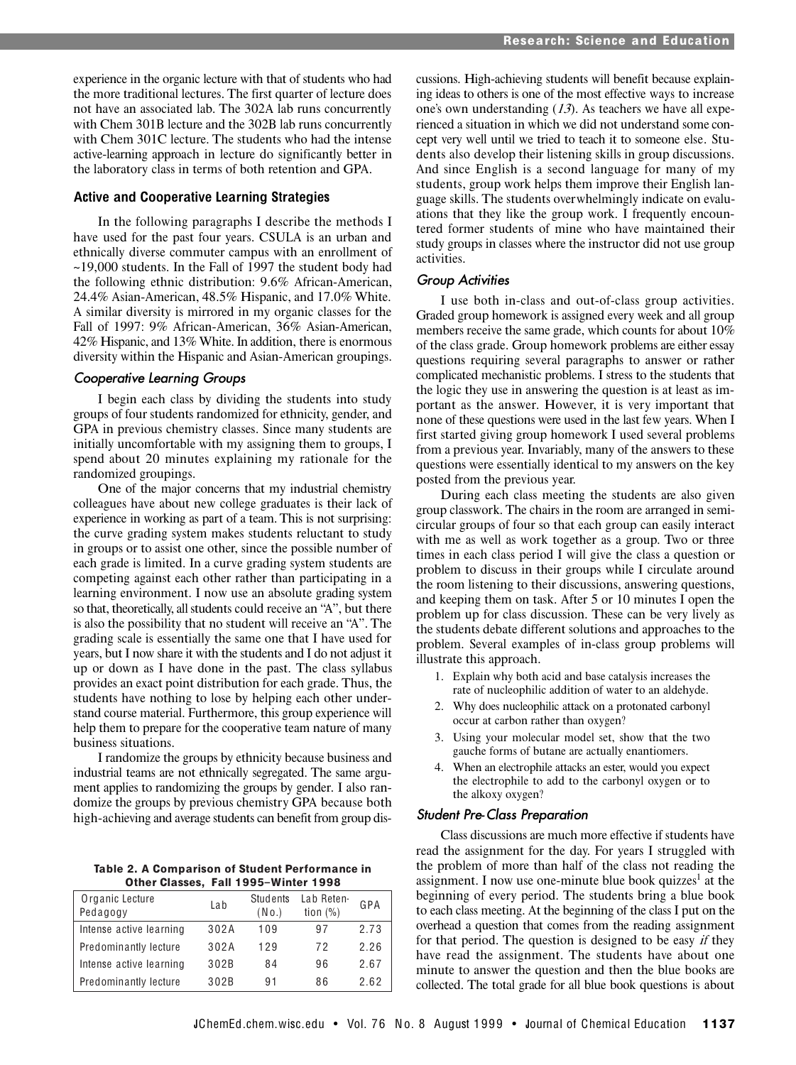experience in the organic lecture with that of students who had the more traditional lectures. The first quarter of lecture does not have an associated lab. The 302A lab runs concurrently with Chem 301B lecture and the 302B lab runs concurrently with Chem 301C lecture. The students who had the intense active-learning approach in lecture do significantly better in the laboratory class in terms of both retention and GPA.

## Active and Cooperative Learning Strategies

In the following paragraphs I describe the methods I have used for the past four years. CSULA is an urban and ethnically diverse commuter campus with an enrollment of ~19,000 students. In the Fall of 1997 the student body had the following ethnic distribution: 9.6% African-American, 24.4% Asian-American, 48.5% Hispanic, and 17.0% White. A similar diversity is mirrored in my organic classes for the Fall of 1997: 9% African-American, 36% Asian-American, 42% Hispanic, and 13%White. In addition, there is enormous diversity within the Hispanic and Asian-American groupings.

## Cooperative Learning Groups

I begin each class by dividing the students into study groups of four students randomized for ethnicity, gender, and GPA in previous chemistry classes. Since many students are initially uncomfortable with my assigning them to groups, I spend about 20 minutes explaining my rationale for the randomized groupings.

One of the major concerns that my industrial chemistry colleagues have about new college graduates is their lack of experience in working as part of a team. This is not surprising: the curve grading system makes students reluctant to study in groups or to assist one other, since the possible number of each grade is limited. In a curve grading system students are competing against each other rather than participating in a learning environment. I now use an absolute grading system so that, theoretically, all students could receive an "A", but there is also the possibility that no student will receive an "A". The grading scale is essentially the same one that I have used for years, but I now share it with the students and I do not adjust it up or down as I have done in the past. The class syllabus provides an exact point distribution for each grade. Thus, the students have nothing to lose by helping each other understand course material. Furthermore, this group experience will help them to prepare for the cooperative team nature of many business situations.

I randomize the groups by ethnicity because business and industrial teams are not ethnically segregated. The same argument applies to randomizing the groups by gender. I also randomize the groups by previous chemistry GPA because both high-achieving and average students can benefit from group dis-

Table 2. A Comparison of Student Performance in Other Classes, Fall 1995–Winter 1998

| Organic Lecture<br>Pedagogy | Lab  | <b>Students</b><br>$(N_0)$ | Lab Reten-<br>tion $(\%)$ | GPA  |
|-----------------------------|------|----------------------------|---------------------------|------|
| Intense active learning     | 302A | 109                        | 97                        | 2.73 |
| Predominantly lecture       | 302A | 129                        | 72                        | 2.26 |
| Intense active learning     | 302B | 84                         | 96                        | 2.67 |
| Predominantly lecture       | 302B | 91                         | 86                        | 2.62 |

cussions. High-achieving students will benefit because explaining ideas to others is one of the most effective ways to increase one's own understanding  $(13)$ . As teachers we have all experienced a situation in which we did not understand some concept very well until we tried to teach it to someone else. Students also develop their listening skills in group discussions. And since English is a second language for many of my students, group work helps them improve their English language skills. The students overwhelmingly indicate on evaluations that they like the group work. I frequently encountered former students of mine who have maintained their study groups in classes where the instructor did not use group activities.

# Group Activities

I use both in-class and out-of-class group activities. Graded group homework is assigned every week and all group members receive the same grade, which counts for about 10% of the class grade. Group homework problems are either essay questions requiring several paragraphs to answer or rather complicated mechanistic problems. I stress to the students that the logic they use in answering the question is at least as important as the answer. However, it is very important that none of these questions were used in the last few years. When I first started giving group homework I used several problems from a previous year. Invariably, many of the answers to these questions were essentially identical to my answers on the key posted from the previous year.

During each class meeting the students are also given group classwork. The chairs in the room are arranged in semicircular groups of four so that each group can easily interact with me as well as work together as a group. Two or three times in each class period I will give the class a question or problem to discuss in their groups while I circulate around the room listening to their discussions, answering questions, and keeping them on task. After 5 or 10 minutes I open the problem up for class discussion. These can be very lively as the students debate different solutions and approaches to the problem. Several examples of in-class group problems will illustrate this approach.

- 1. Explain why both acid and base catalysis increases the rate of nucleophilic addition of water to an aldehyde.
- 2. Why does nucleophilic attack on a protonated carbonyl occur at carbon rather than oxygen?
- 3. <sup>U</sup>sing your molecular model set, show that the two gauche forms of butane are actually enantiomers.
- 4. When an electrophile attacks an ester, would you expect the electrophile to add to the carbonyl oxygen or to the alkoxy oxygen?

# Student Pre-Class Preparation

Class discussions are much more effective if students have read the assignment for the day. For years I struggled with the problem of more than half of the class not reading the assignment. I now use one-minute blue book quizzes<sup>1</sup> at the beginning of every period. The students bring a blue book to each class meeting. At the beginning of the class I put on the overhead a question that comes from the reading assignment for that period. The question is designed to be easy *if* they have read the assignment. The students have about one minute to answer the question and then the blue books are collected. The total grade for all blue book questions is about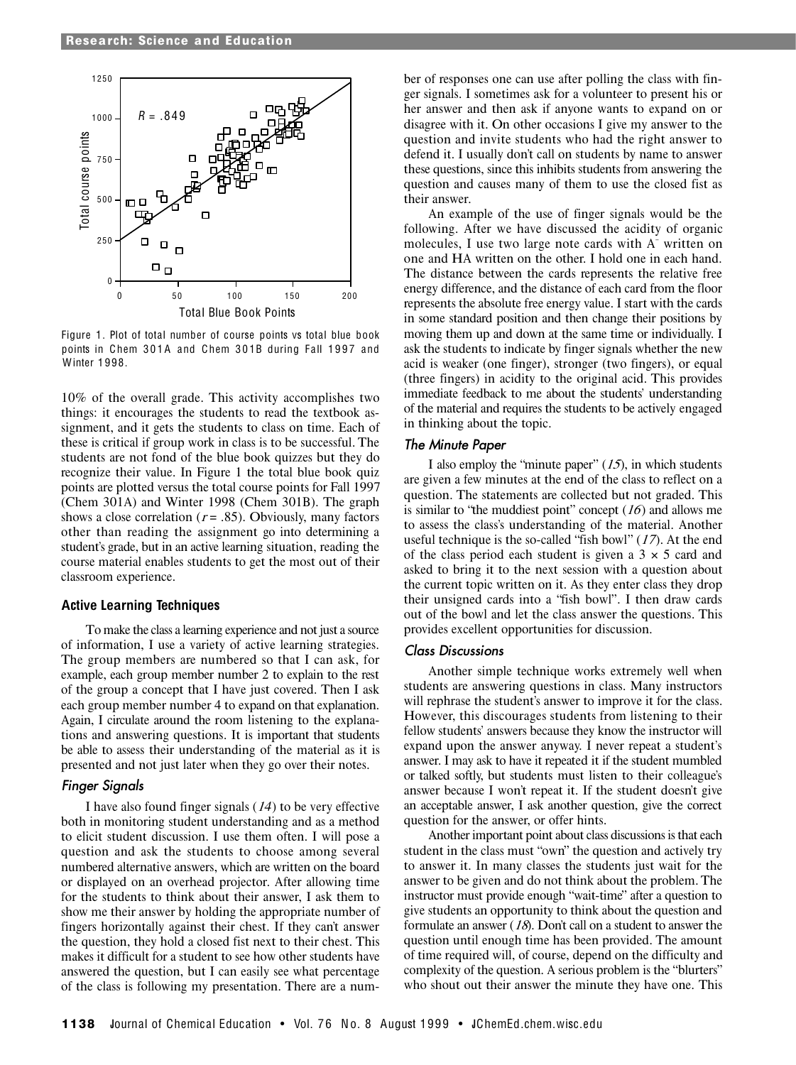

Figure 1. Plot of total number of course points vs total blue book points in Chem 301A and Chem 301B during Fall 1997 and Winter 1998.

10% of the overall grade. This activity accomplishes two things: it encourages the students to read the textbook assignment, and it gets the students to class on time. Each of these is critical if group work in class is to be successful. The students are not fond of the blue book quizzes but they do recognize their value. In Figure 1 the total blue book quiz points are plotted versus the total course points for Fall 1997 (Chem 301A) and Winter 1998 (Chem 301B). The graph shows a close correlation ( $r = .85$ ). Obviously, many factors other than reading the assignment go into determining a student's grade, but in an active learning situation, reading the course material enables students to get the most out of their classroom experience.

## Active Learning Techniques

To make the class a learning experience and not just a source of information, I use a variety of active learning strategies. The group members are numbered so that I can ask, for example, each group member number 2 to explain to the rest of the group a concept that I have just covered. Then I ask each group member number 4 to expand on that explanation. Again, I circulate around the room listening to the explanations and answering questions. It is important that students be able to assess their understanding of the material as it is presented and not just later when they go over their notes.

# Finger Signals

I have also found finger signals  $(14)$  to be very effective both in monitoring student understanding and as a method to elicit student discussion. I use them often. I will pose a question and ask the students to choose among several numbered alternative answers, which are written on the board or displayed on an overhead projector. After allowing time for the students to think about their answer, I ask them to show me their answer by holding the appropriate number of fingers horizontally against their chest. If they can't answer the question, they hold a closed fist next to their chest. This makes it difficult for a student to see how other students have answered the question, but I can easily see what percentage of the class is following my presentation. There are a number of responses one can use after polling the class with finger signals. I sometimes ask for a volunteer to present his or her answer and then ask if anyone wants to expand on or disagree with it. On other occasions I give my answer to the question and invite students who had the right answer to defend it. I usually don't call on students by name to answer these questions, since this inhibits students from answering the question and causes many of them to use the closed fist as their answer.

An example of the use of finger signals would be the following. After we have discussed the acidity of organic molecules, I use two large note cards with  $A<sup>-</sup>$  written on one and HA written on the other. I hold one in each hand. The distance between the cards represents the relative free energy difference, and the distance of each card from the floor represents the absolute free energy value. I start with the cards in some standard position and then change their positions by moving them up and down at the same time or individually. I ask the students to indicate by finger signals whether the new acid is weaker (one finger), stronger (two fingers), or equal (three fingers) in acidity to the original acid. This provides immediate feedback to me about the students' understanding of the material and requires the students to be actively engaged in thinking about the topic.

## The Minute Paper

I also employ the "minute paper"  $(15)$ , in which students are given a few minutes at the end of the class to reflect on a question. The statements are collected but not graded. This is similar to "the muddiest point" concept  $(16)$  and allows me to assess the class's understanding of the material. Another useful technique is the so-called "fish bowl" (17). At the end of the class period each student is given a  $3 \times 5$  card and asked to bring it to the next session with a question about the current topic written on it. As they enter class they drop their unsigned cards into a "fish bowl". I then draw cards out of the bowl and let the class answer the questions. This provides excellent opportunities for discussion.

#### Class Discussions

Another simple technique works extremely well when students are answering questions in class. Many instructors will rephrase the student's answer to improve it for the class. However, this discourages students from listening to their fellow students' answers because they know the instructor will expand upon the answer anyway. I never repeat a student's answer. I may ask to have it repeated it if the student mumbled or talked softly, but students must listen to their colleague's answer because I won't repeat it. If the student doesn't give an acceptable answer, I ask another question, give the correct question for the answer, or offer hints.

Another important point about class discussions is that each student in the class must "own" the question and actively try to answer it. In many classes the students just wait for the answer to be given and do not think about the problem. The instructor must provide enough "wait-time" after a question to give students an opportunity to think about the question and formulate an answer  $(18)$ . Don't call on a student to answer the question until enough time has been provided. The amount of time required will, of course, depend on the difficulty and complexity of the question. A serious problem is the "blurters" who shout out their answer the minute they have one. This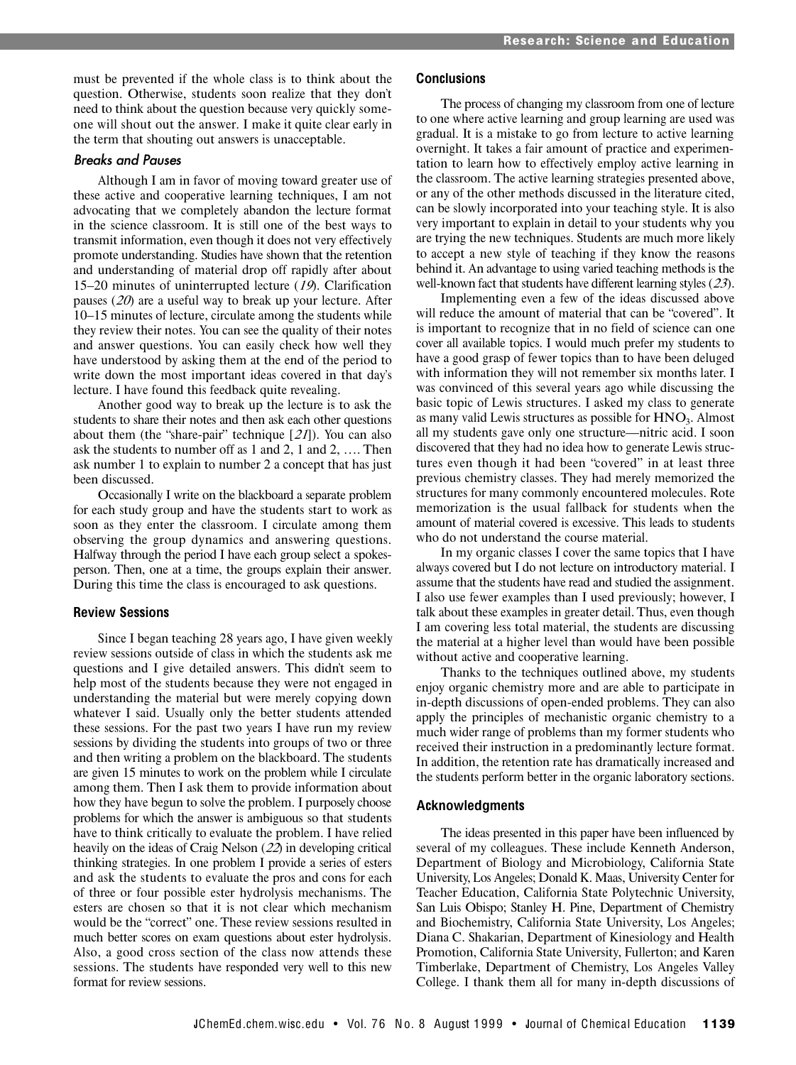must be prevented if the whole class is to think about the question. Otherwise, students soon realize that they don't need to think about the question because very quickly someone will shout out the answer. I make it quite clear early in the term that shouting out answers is unacceptable.

# Breaks and Pauses

Although I am in favor of moving toward greater use of these active and cooperative learning techniques, I am not advocating that we completely abandon the lecture format in the science classroom. It is still one of the best ways to transmit information, even though it does not very effectively promote understanding. Studies have shown that the retention and understanding of material drop off rapidly after about 15–20 minutes of uninterrupted lecture (19). Clarification pauses (20) are a useful way to break up your lecture. After 10–15 minutes of lecture, circulate among the students while they review their notes. You can see the quality of their notes and answer questions. You can easily check how well they have understood by asking them at the end of the period to write down the most important ideas covered in that day's lecture. I have found this feedback quite revealing.

Another good way to break up the lecture is to ask the students to share their notes and then ask each other questions about them (the "share-pair" technique  $[2I]$ ). You can also ask the students to number off as  $1$  and  $2$ ,  $1$  and  $2$ , .... Then ask number 1 to explain to number 2 a concept that has just been discussed.

Occasionally I write on the blackboard a separate problem for each study group and have the students start to work as soon as they enter the classroom. I circulate among them observing the group dynamics and answering questions. Halfway through the period I have each group select a spokesperson. Then, one at a time, the groups explain their answer. During this time the class is encouraged to ask questions.

## Review Sessions

Since I began teaching 28 years ago, I have given weekly review sessions outside of class in which the students ask me questions and I give detailed answers. This didn't seem to help most of the students because they were not engaged in understanding the material but were merely copying down whatever I said. <sup>U</sup>sually only the better students attended these sessions. For the past two years I have run my review sessions by dividing the students into groups of two or three and then writing a problem on the blackboard. The students are given 15 minutes to work on the problem while I circulate among them. Then I ask them to provide information about how they have begun to solve the problem. I purposely choose problems for which the answer is ambiguous so that students have to think critically to evaluate the problem. I have relied heavily on the ideas of Craig Nelson (22) in developing critical thinking strategies. In one problem I provide a series of esters and ask the students to evaluate the pros and cons for each of three or four possible ester hydrolysis mechanisms. The esters are chosen so that it is not clear which mechanism would be the "correct" one. These review sessions resulted in much better scores on exam questions about ester hydrolysis. Also, a good cross section of the class now attends these sessions. The students have responded very well to this new format for review sessions.

### **Conclusions**

The process of changing my classroom from one of lecture to one where active learning and group learning are used was gradual. It is a mistake to go from lecture to active learning overnight. It takes a fair amount of practice and experimentation to learn how to effectively employ active learning in the classroom. The active learning strategies presented above, or any of the other methods discussed in the literature cited, can be slowly incorporated into your teaching style. It is also very important to explain in detail to your students why you are trying the new techniques. Students are much more likely to accept a new style of teaching if they know the reasons behind it. An advantage to using varied teaching methods is the well-known fact that students have different learning styles (23).

Implementing even a few of the ideas discussed above will reduce the amount of material that can be "covered". It is important to recognize that in no field of science can one cover all available topics. I would much prefer my students to have a good grasp of fewer topics than to have been deluged with information they will not remember six months later. I was convinced of this several years ago while discussing the basic topic of Lewis structures. I asked my class to generate as many valid Lewis structures as possible for  $HNO<sub>3</sub>$ . Almost all my students gave only one structure—nitric acid. I soon discovered that they had no idea how to generate Lewis structures even though it had been "covered" in at least three previous chemistry classes. They had merely memorized the structures for many commonly encountered molecules. Rote memorization is the usual fallback for students when the amount of material covered is excessive. This leads to students who do not understand the course material.

In my organic classes I cover the same topics that I have always covered but I do not lecture on introductory material. I assume that the students have read and studied the assignment. I also use fewer examples than I used previously; however, I talk about these examples in greater detail. Thus, even though I am covering less total material, the students are discussing the material at a higher level than would have been possible without active and cooperative learning.

Thanks to the techniques outlined above, my students enjoy organic chemistry more and are able to participate in in-depth discussions of open-ended problems. They can also apply the principles of mechanistic organic chemistry to a much wider range of problems than my former students who received their instruction in a predominantly lecture format. In addition, the retention rate has dramatically increased and the students perform better in the organic laboratory sections.

#### Acknowledgments

The ideas presented in this paper have been influenced by several of my colleagues. These include Kenneth Anderson, Department of Biology and Microbiology, California State <sup>U</sup>niversity, Los Angeles; Donald K. Maas, <sup>U</sup>niversity Center for Teacher Education, California State Polytechnic <sup>U</sup>niversity, San Luis Obispo; Stanley H. Pine, Department of Chemistry and Biochemistry, California State <sup>U</sup>niversity, Los Angeles; Diana C. Shakarian, Department of Kinesiology and Health Promotion, California State <sup>U</sup>niversity, Fullerton; and Karen Timberlake, Department of Chemistry, Los Angeles Valley College. I thank them all for many in-depth discussions of